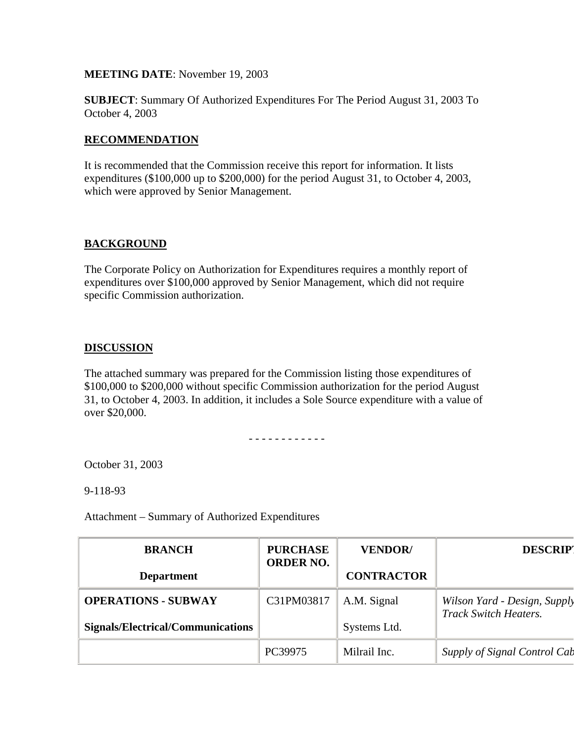**MEETING DATE**: November 19, 2003

**SUBJECT**: Summary Of Authorized Expenditures For The Period August 31, 2003 To October 4, 2003

## **RECOMMENDATION**

It is recommended that the Commission receive this report for information. It lists expenditures (\$100,000 up to \$200,000) for the period August 31, to October 4, 2003, which were approved by Senior Management.

## **BACKGROUND**

The Corporate Policy on Authorization for Expenditures requires a monthly report of expenditures over \$100,000 approved by Senior Management, which did not require specific Commission authorization.

## **DISCUSSION**

The attached summary was prepared for the Commission listing those expenditures of \$100,000 to \$200,000 without specific Commission authorization for the period August 31, to October 4, 2003. In addition, it includes a Sole Source expenditure with a value of over \$20,000.

- - - - - - - - - - - -

October 31, 2003

9-118-93

Attachment – Summary of Authorized Expenditures

| <b>BRANCH</b>                     | <b>PURCHASE</b><br><b>ORDER NO.</b> | <b>VENDOR/</b>    | <b>DESCRIPT</b>                                              |
|-----------------------------------|-------------------------------------|-------------------|--------------------------------------------------------------|
| <b>Department</b>                 |                                     | <b>CONTRACTOR</b> |                                                              |
| <b>OPERATIONS - SUBWAY</b>        | C31PM03817                          | A.M. Signal       | Wilson Yard - Design, Supply<br><b>Track Switch Heaters.</b> |
| Signals/Electrical/Communications |                                     | Systems Ltd.      |                                                              |
|                                   | PC39975                             | Milrail Inc.      | Supply of Signal Control Cab                                 |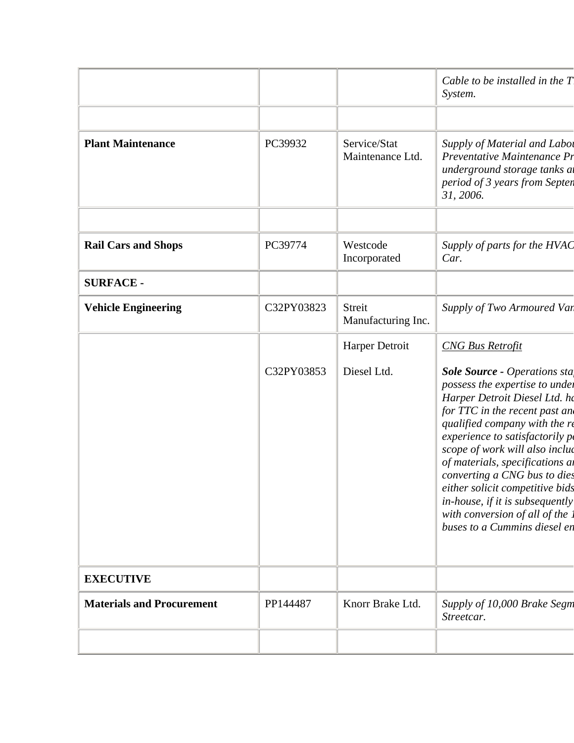|                                  |            |                                  | Cable to be installed in the $T$<br>System.                                                                                                                                                                                                                                                                                                                                                                                                              |
|----------------------------------|------------|----------------------------------|----------------------------------------------------------------------------------------------------------------------------------------------------------------------------------------------------------------------------------------------------------------------------------------------------------------------------------------------------------------------------------------------------------------------------------------------------------|
| <b>Plant Maintenance</b>         | PC39932    | Service/Stat<br>Maintenance Ltd. | Supply of Material and Labor<br>Preventative Maintenance Pr<br>underground storage tanks at<br>period of 3 years from Septen<br>31, 2006.                                                                                                                                                                                                                                                                                                                |
| <b>Rail Cars and Shops</b>       | PC39774    | Westcode<br>Incorporated         | Supply of parts for the HVAC<br>Car.                                                                                                                                                                                                                                                                                                                                                                                                                     |
| <b>SURFACE -</b>                 |            |                                  |                                                                                                                                                                                                                                                                                                                                                                                                                                                          |
| <b>Vehicle Engineering</b>       | C32PY03823 | Streit<br>Manufacturing Inc.     | Supply of Two Armoured Van                                                                                                                                                                                                                                                                                                                                                                                                                               |
|                                  |            | Harper Detroit                   | <b>CNG Bus Retrofit</b>                                                                                                                                                                                                                                                                                                                                                                                                                                  |
|                                  | C32PY03853 | Diesel Ltd.                      | <b>Sole Source - Operations sta</b><br>possess the expertise to under<br>Harper Detroit Diesel Ltd. ho<br>for TTC in the recent past and<br>qualified company with the re<br>experience to satisfactorily po<br>scope of work will also includ<br>of materials, specifications an<br>converting a CNG bus to dies<br>either solicit competitive bids<br>in-house, if it is subsequently<br>with conversion of all of the<br>buses to a Cummins diesel en |
| <b>EXECUTIVE</b>                 |            |                                  |                                                                                                                                                                                                                                                                                                                                                                                                                                                          |
| <b>Materials and Procurement</b> | PP144487   | Knorr Brake Ltd.                 | Supply of 10,000 Brake Segm<br>Streetcar.                                                                                                                                                                                                                                                                                                                                                                                                                |
|                                  |            |                                  |                                                                                                                                                                                                                                                                                                                                                                                                                                                          |